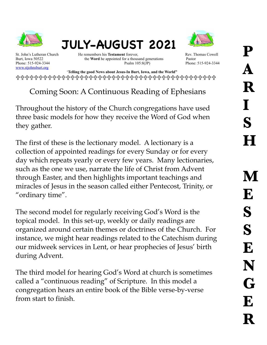

## **JULY-AUGUST 2021**



[www.stjohnsburt.org](http://www.stjohnsburt.org)

St. John's Lutheran Church He remembers his **Testament** forever, Rev. Thomas Cowell Burt, Iowa 50522 the **Word** he appointed for a thousand generations Pastor Phone: 515-924-3344 Psalm 105:8(JP) Phone: 515-924-3344 Psalm 105:8(JP) Phone: 515-924-3344

 '**Telling the good News about Jesus-In Burt, Iowa, and the World"**  !!!!!!!!!!!!!!!!!!!!!!!!!!!!!!!!!!!!!!!!!!!!

Coming Soon: A Continuous Reading of Ephesians

Throughout the history of the Church congregations have used three basic models for how they receive the Word of God when they gather.

The first of these is the lectionary model. A lectionary is a collection of appointed readings for every Sunday or for every day which repeats yearly or every few years. Many lectionaries, such as the one we use, narrate the life of Christ from Advent through Easter, and then highlights important teachings and miracles of Jesus in the season called either Pentecost, Trinity, or "ordinary time".

The second model for regularly receiving God's Word is the topical model. In this set-up, weekly or daily readings are organized around certain themes or doctrines of the Church. For instance, we might hear readings related to the Catechism during our midweek services in Lent, or hear prophecies of Jesus' birth during Advent.

The third model for hearing God's Word at church is sometimes called a "continuous reading" of Scripture. In this model a congregation hears an entire book of the Bible verse-by-verse from start to finish.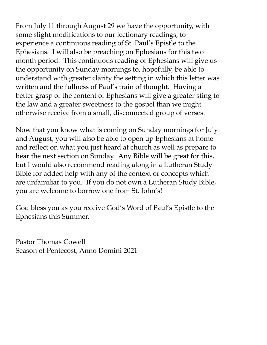From July 11 through August 29 we have the opportunity, with some slight modifications to our lectionary readings, to experience a continuous reading of St. Paul's Epistle to the Ephesians. I will also be preaching on Ephesians for this two month period. This continuous reading of Ephesians will give us the opportunity on Sunday mornings to, hopefully, be able to understand with greater clarity the setting in which this letter was written and the fullness of Paul's train of thought. Having a better grasp of the content of Ephesians will give a greater sting to the law and a greater sweetness to the gospel than we might otherwise receive from a small, disconnected group of verses.

Now that you know what is coming on Sunday mornings for July and August, you will also be able to open up Ephesians at home and reflect on what you just heard at church as well as prepare to hear the next section on Sunday. Any Bible will be great for this, but I would also recommend reading along in a Lutheran Study Bible for added help with any of the context or concepts which are unfamiliar to you. If you do not own a Lutheran Study Bible, you are welcome to borrow one from St. John's!

God bless you as you receive God's Word of Paul's Epistle to the Ephesians this Summer.

Pastor Thomas Cowell Season of Pentecost, Anno Domini 2021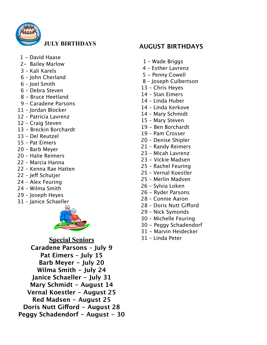

## **JULY BIRTHDAYS**

- 1 David Haase
- 2- Bailey Marlow
- 3 Kali Karels
- 6 John Cherland
- 6 Joel Smith
- 6 Debra Steven
- 8 Bruce Heetland
- 9 Caradene Parsons
- 11 Jordan Blocker
- 12 Patricia Lavrenz
- 12 Craig Steven
- 13 Breckin Borchardt
- 13 Del Reutzel
- 15 Pat Eimers
- 20 Barb Meyer
- 20 Halie Reimers
- 22 Marcia Hanna
- 22 Kenna Rae Hatten
- 22 Jeff Schutjer
- 24 Alex Feuring
- 24 Wilma Smith
- 29 Joseph Heyes
- 31 Janice Schaeller



**Special Seniors Caradene Parsons – July 9 Pat Eimers – July 15 Barb Meyer - July 20 Wilma Smith - July 24 Janice Schaeller - July 31 Mary Schmidt - August 14 Vernal Koestler - August 25 Red Madsen - August 25 Doris Nutt Giford - August 28 Peggy Schadendorf - August - 30**

## **AUGUST BIRTHDAYS**

- 1 Wade Briggs
- 4 Esther Lavrenz
- 5 Penny Cowell
- 8 Joseph Culbertson
- 13 Chris Heyes
- 14 Stan Eimers
- 14 Linda Huber
- 14 Linda Kerkove
- 14 Mary Schmidt
- 15 Mary Steven
- 19 Ben Borchardt
- 19 Pam Crosser
- 20 Denise Shipler
- 21 Randy Reimers
- 23 Micah Lavrenz
- 23 Vickie Madsen
- 25 Rachel Feuring
- 25 Vernal Koestler
- 25 Merlin Madsen
- 26 Sylvia Loken
- 26 Ryder Parsons
- 28 Connie Aaron
- 28 Doris Nutt Giford
- 29 Nick Symonds
- 30 Michelle Feuring
- 30 Peggy Schadendorf
- 31 Marvin Heidecker
- 31 Linda Peter